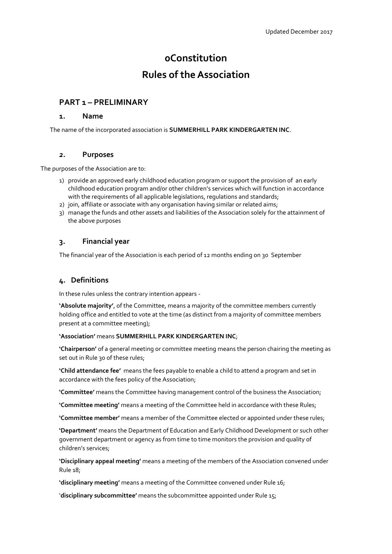# **0Constitution**

# **Rules of the Association**

# **PART 1 – PRELIMINARY**

### **1. Name**

The name of the incorporated association is **SUMMERHILL PARK KINDERGARTEN INC**.

### *2.* **Purposes**

The purposes of the Association are to:

- 1) provide an approved early childhood education program or support the provision of an early childhood education program and/or other children's services which will function in accordance with the requirements of all applicable legislations, regulations and standards;
- 2) join, affiliate or associate with any organisation having similar or related aims;
- 3) manage the funds and other assets and liabilities of the Association solely for the attainment of the above purposes

# **3. Financial year**

The financial year of the Association is each period of 12 months ending on 30 September

# **4. Definitions**

In these rules unless the contrary intention appears -

**'Absolute majority'**, of the Committee, means a majority of the committee members currently holding office and entitled to vote at the time (as distinct from a majority of committee members present at a committee meeting);

#### **'Association'** means **SUMMERHILL PARK KINDERGARTEN INC**;

**'Chairperson'** of a general meeting or committee meeting means the person chairing the meeting as set out in Rule 30 of these rules;

**'Child attendance fee'** means the fees payable to enable a child to attend a program and set in accordance with the fees policy of the Association;

**'Committee'** means the Committee having management control of the business the Association;

**'Committee meeting'** means a meeting of the Committee held in accordance with these Rules;

**'Committee member'** means a member of the Committee elected or appointed under these rules;

**'Department'** means the Department of Education and Early Childhood Development or such other government department or agency as from time to time monitors the provision and quality of children's services;

**'Disciplinary appeal meeting'** means a meeting of the members of the Association convened under Rule 18;

**'disciplinary meeting'** means a meeting of the Committee convened under Rule 16;

'**disciplinary subcommittee'** means the subcommittee appointed under Rule 15;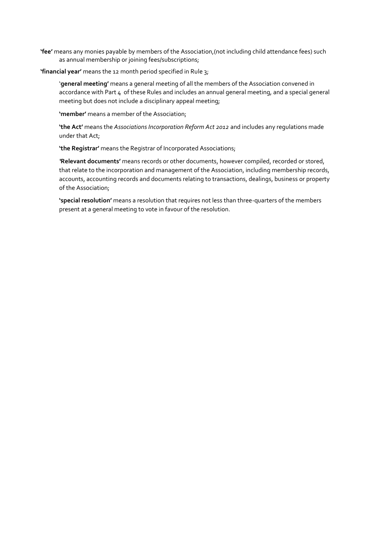**'fee'** means any monies payable by members of the Association,(not including child attendance fees) such as annual membership or joining fees/subscriptions;

#### **'financial year'** means the 12 month period specified in Rule 3;

'**general meeting'** means a general meeting of all the members of the Association convened in accordance with Part 4 of these Rules and includes an annual general meeting, and a special general meeting but does not include a disciplinary appeal meeting;

**'member'** means a member of the Association;

**'the Act'** means the *Associations Incorporation Reform Act 2012* and includes any regulations made under that Act;

**'the Registrar'** means the Registrar of Incorporated Associations;

*'***Relevant documents'** means records or other documents, however compiled, recorded or stored, that relate to the incorporation and management of the Association, including membership records, accounts, accounting records and documents relating to transactions, dealings, business or property of the Association;

**'special resolution'** means a resolution that requires not less than three-quarters of the members present at a general meeting to vote in favour of the resolution.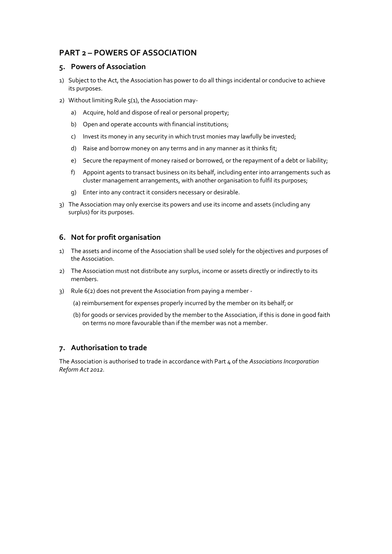# **PART 2 – POWERS OF ASSOCIATION**

## **5. Powers of Association**

- 1) Subject to the Act, the Association has power to do all things incidental or conducive to achieve its purposes.
- 2) Without limiting Rule  $5(1)$ , the Association may
	- a) Acquire, hold and dispose of real or personal property;
	- b) Open and operate accounts with financial institutions;
	- c) Invest its money in any security in which trust monies may lawfully be invested;
	- d) Raise and borrow money on any terms and in any manner as it thinks fit;
	- e) Secure the repayment of money raised or borrowed, or the repayment of a debt or liability;
	- f) Appoint agents to transact business on its behalf, including enter into arrangements such as cluster management arrangements, with another organisation to fulfil its purposes;
	- g) Enter into any contract it considers necessary or desirable.
- 3) The Association may only exercise its powers and use its income and assets (including any surplus) for its purposes.

# **6. Not for profit organisation**

- 1) The assets and income of the Association shall be used solely for the objectives and purposes of the Association.
- 2) The Association must not distribute any surplus, income or assets directly or indirectly to its members.
- 3) Rule 6(2) does not prevent the Association from paying a member
	- (a) reimbursement for expenses properly incurred by the member on its behalf; or
	- (b) for goods or services provided by the member to the Association, if this is done in good faith on terms no more favourable than if the member was not a member.

# **7. Authorisation to trade**

The Association is authorised to trade in accordance with Part 4 of the *Associations Incorporation Reform Act 2012.*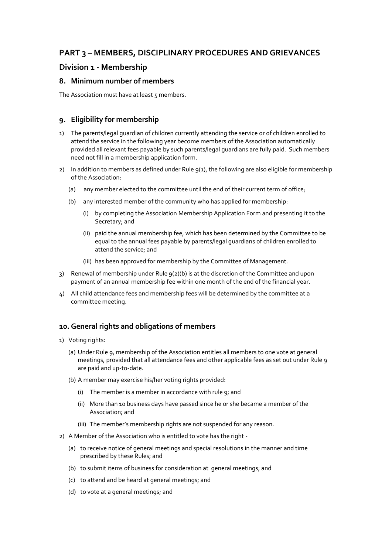# **PART 3 – MEMBERS, DISCIPLINARY PROCEDURES AND GRIEVANCES**

# **Division 1 - Membership**

### **8. Minimum number of members**

The Association must have at least 5 members.

# **9. Eligibility for membership**

- 1) The parents/legal guardian of children currently attending the service or of children enrolled to attend the service in the following year become members of the Association automatically provided all relevant fees payable by such parents/legal guardians are fully paid. Such members need not fill in a membership application form.
- 2) In addition to members as defined under Rule  $q(1)$ , the following are also eligible for membership of the Association:
	- (a) any member elected to the committee until the end of their current term of office;
	- (b) any interested member of the community who has applied for membership:
		- (i) by completing the Association Membership Application Form and presenting it to the Secretary; and
		- (ii) paid the annual membership fee, which has been determined by the Committee to be equal to the annual fees payable by parents/legal guardians of children enrolled to attend the service; and
		- (iii) has been approved for membership by the Committee of Management.
- 3) Renewal of membership under Rule 9(2)(b) is at the discretion of the Committee and upon payment of an annual membership fee within one month of the end of the financial year.
- 4) All child attendance fees and membership fees will be determined by the committee at a committee meeting.

# **10. General rights and obligations of members**

- 1) Voting rights:
	- (a) Under Rule 9, membership of the Association entitles all members to one vote at general meetings, provided that all attendance fees and other applicable fees as set out under Rule 9 are paid and up-to-date.
	- (b) A member may exercise his/her voting rights provided:
		- (i) The member is a member in accordance with rule 9; and
		- (ii) More than 10 business days have passed since he or she became a member of the Association; and
		- (iii) The member's membership rights are not suspended for any reason.
- 2) A Member of the Association who is entitled to vote has the right -
	- (a) to receive notice of general meetings and special resolutions in the manner and time prescribed by these Rules; and
	- (b) to submit items of business for consideration at general meetings; and
	- (c) to attend and be heard at general meetings; and
	- (d) to vote at a general meetings; and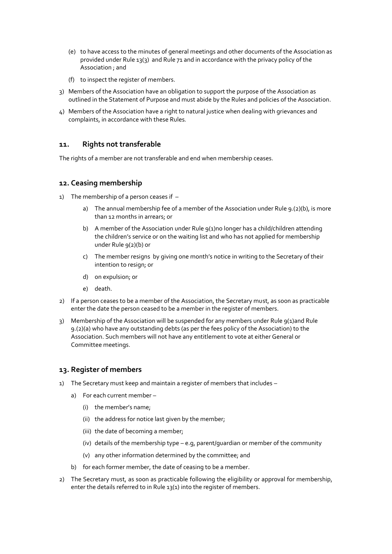- (e) to have access to the minutes of general meetings and other documents of the Association as provided under Rule 13(3) and Rule 71 and in accordance with the privacy policy of the Association ; and
- (f) to inspect the register of members.
- 3) Members of the Association have an obligation to support the purpose of the Association as outlined in the Statement of Purpose and must abide by the Rules and policies of the Association.
- 4) Members of the Association have a right to natural justice when dealing with grievances and complaints, in accordance with these Rules*.*

# **11. Rights not transferable**

The rights of a member are not transferable and end when membership ceases.

# **12. Ceasing membership**

- 1) The membership of a person ceases if  $$ 
	- a) The annual membership fee of a member of the Association under Rule 9.(2)(b), is more than 12 months in arrears; or
	- b) A member of the Association under Rule 9(1)no longer has a child/children attending the children's service or on the waiting list and who has not applied for membership under Rule 9(2)(b) or
	- c) The member resigns by giving one month's notice in writing to the Secretary of their intention to resign; or
	- d) on expulsion; or
	- e) death.
- 2) If a person ceases to be a member of the Association, the Secretary must, as soon as practicable enter the date the person ceased to be a member in the register of members.
- 3) Membership of the Association will be suspended for any members under Rule 9(1)and Rule 9.(2)(a) who have any outstanding debts (as per the fees policy of the Association) to the Association. Such members will not have any entitlement to vote at either General or Committee meetings.

# **13. Register of members**

- 1) The Secretary must keep and maintain a register of members that includes
	- a) For each current member
		- (i) the member's name;
		- (ii) the address for notice last given by the member;
		- (iii) the date of becoming a member;
		- (iv) details of the membership type e.g, parent/guardian or member of the community
		- (v) any other information determined by the committee; and
	- b) for each former member, the date of ceasing to be a member.
- 2) The Secretary must, as soon as practicable following the eligibility or approval for membership, enter the details referred to in Rule 13(1) into the register of members.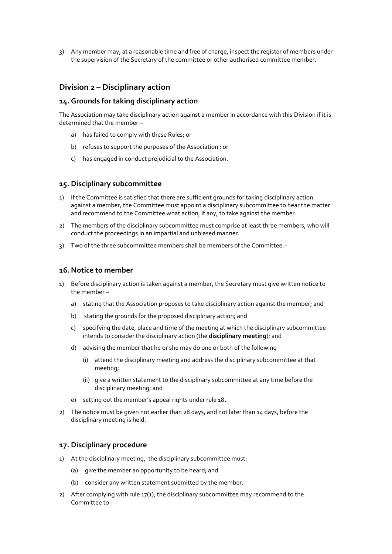3) Any member may, at a reasonable time and free of charge, inspect the register of members under the supervision of the Secretary of the committee or other authorised committee member.

# **Division 2 – Disciplinary action**

#### **14. Grounds for taking disciplinary action**

The Association may take disciplinary action against a member in accordance with this Division if it is determined that the member –

- a) has failed to comply with these Rules; or
- b) refuses to support the purposes of the Association ; or
- c) has engaged in conduct prejudicial to the Association.

#### **15. Disciplinary subcommittee**

- 1) If the Committee is satisfied that there are sufficient grounds for taking disciplinary action against a member, the Committee must appoint a disciplinary subcommittee to hear the matter and recommend to the Committee what action, if any, to take against the member.
- 2) The members of the disciplinary subcommittee must comprise at least three members, who will conduct the proceedings in an impartial and unbiased manner.
- 3) Two of the three subcommittee members shall be members of the Committee.–

### **16. Notice to member**

- 1) Before disciplinary action is taken against a member, the Secretary must give written notice to the member –
	- a) stating that the Association proposes to take disciplinary action against the member; and
	- b) stating the grounds for the proposed disciplinary action; and
	- c) specifying the date, place and time of the meeting at which the disciplinary subcommittee intends to consider the disciplinary action (the **disciplinary meeting**); and
	- d) advising the member that he or she may do one or both of the following
		- (i) attend the disciplinary meeting and address the disciplinary subcommittee at that meeting;
		- (ii) give a written statement to the disciplinary subcommittee at any time before the disciplinary meeting; and
	- e) setting out the member's appeal rights under rule 18*.*
- 2) The notice must be given not earlier than 28 days, and not later than 14 days, before the disciplinary meeting is held.

#### **17. Disciplinary procedure**

- 1) At the disciplinary meeting, the disciplinary subcommittee must:
	- (a) give the member an opportunity to be heard; and
	- (b) consider any written statement submitted by the member.
- 2) After complying with rule  $17(1)$ , the disciplinary subcommittee may recommend to the Committee to–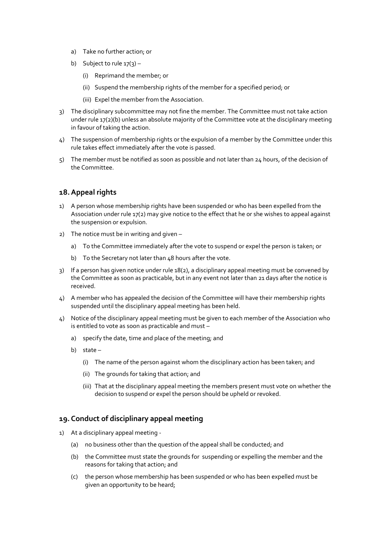- a) Take no further action; or
- b) Subject to rule  $17(3)$ 
	- (i) Reprimand the member; or
	- (ii) Suspend the membership rights of the member for a specified period; or
	- (iii) Expel the member from the Association.
- 3) The disciplinary subcommittee may not fine the member. The Committee must not take action under rule 17(2)(b) unless an absolute majority of the Committee vote at the disciplinary meeting in favour of taking the action.
- 4) The suspension of membership rights or the expulsion of a member by the Committee under this rule takes effect immediately after the vote is passed.
- 5) The member must be notified as soon as possible and not later than 24 hours, of the decision of the Committee.

# **18.Appeal rights**

- 1) A person whose membership rights have been suspended or who has been expelled from the Association under rule 17(2) may give notice to the effect that he or she wishes to appeal against the suspension or expulsion.
- 2) The notice must be in writing and given
	- a) To the Committee immediately after the vote to suspend or expel the person is taken; or
	- b) To the Secretary not later than 48 hours after the vote.
- 3) If a person has given notice under rule 18(2), a disciplinary appeal meeting must be convened by the Committee as soon as practicable, but in any event not later than 21 days after the notice is received.
- 4) A member who has appealed the decision of the Committee will have their membership rights suspended until the disciplinary appeal meeting has been held.
- 4) Notice of the disciplinary appeal meeting must be given to each member of the Association who is entitled to vote as soon as practicable and must –
	- a) specify the date, time and place of the meeting; and
	- b) state
		- (i) The name of the person against whom the disciplinary action has been taken; and
		- (ii) The grounds for taking that action; and
		- (iii) That at the disciplinary appeal meeting the members present must vote on whether the decision to suspend or expel the person should be upheld or revoked.

# **19. Conduct of disciplinary appeal meeting**

- 1) At a disciplinary appeal meeting
	- (a) no business other than the question of the appeal shall be conducted; and
	- (b) the Committee must state the grounds for suspending or expelling the member and the reasons for taking that action; and
	- (c) the person whose membership has been suspended or who has been expelled must be given an opportunity to be heard;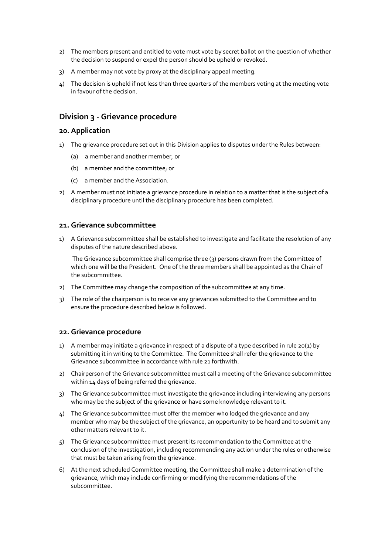- 2) The members present and entitled to vote must vote by secret ballot on the question of whether the decision to suspend or expel the person should be upheld or revoked.
- 3) A member may not vote by proxy at the disciplinary appeal meeting.
- 4) The decision is upheld if not less than three quarters of the members voting at the meeting vote in favour of the decision.

# **Division 3 - Grievance procedure**

#### **20. Application**

- 1) The grievance procedure set out in this Division applies to disputes under the Rules between:
	- (a) a member and another member, or
	- (b) a member and the committee; or
	- (c) a member and the Association.
- 2) A member must not initiate a grievance procedure in relation to a matter that is the subject of a disciplinary procedure until the disciplinary procedure has been completed.

#### **21. Grievance subcommittee**

1) A Grievance subcommittee shall be established to investigate and facilitate the resolution of any disputes of the nature described above.

The Grievance subcommittee shall comprise three (3) persons drawn from the Committee of which one will be the President. One of the three members shall be appointed as the Chair of the subcommittee.

- 2) The Committee may change the composition of the subcommittee at any time.
- 3) The role of the chairperson is to receive any grievances submitted to the Committee and to ensure the procedure described below is followed.

### **22. Grievance procedure**

- 1) A member may initiate a grievance in respect of a dispute of a type described in rule 20(1) by submitting it in writing to the Committee. The Committee shall refer the grievance to the Grievance subcommittee in accordance with rule 21 forthwith.
- 2) Chairperson of the Grievance subcommittee must call a meeting of the Grievance subcommittee within 14 days of being referred the grievance.
- 3) The Grievance subcommittee must investigate the grievance including interviewing any persons who may be the subject of the grievance or have some knowledge relevant to it.
- 4) The Grievance subcommittee must offer the member who lodged the grievance and any member who may be the subject of the grievance, an opportunity to be heard and to submit any other matters relevant to it.
- 5) The Grievance subcommittee must present its recommendation to the Committee at the conclusion of the investigation, including recommending any action under the rules or otherwise that must be taken arising from the grievance.
- 6) At the next scheduled Committee meeting, the Committee shall make a determination of the grievance, which may include confirming or modifying the recommendations of the subcommittee.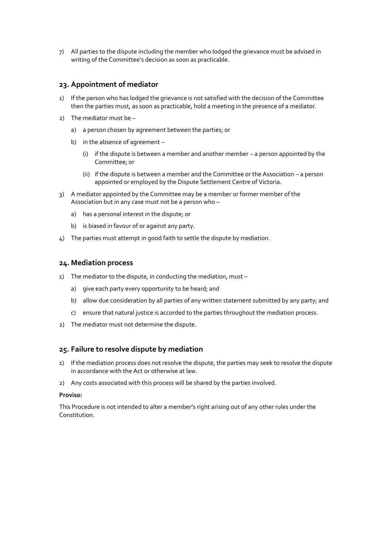7) All parties to the dispute including the member who lodged the grievance must be advised in writing of the Committee's decision as soon as practicable.

### **23. Appointment of mediator**

- 1) If the person who has lodged the grievance is not satisfied with the decision of the Committee then the parties must, as soon as practicable, hold a meeting in the presence of a mediator.
- 2) The mediator must be
	- a) a person chosen by agreement between the parties; or
	- b) in the absence of agreement
		- (i) if the dispute is between a member and another member a person appointed by the Committee; or
		- (ii) if the dispute is between a member and the Committee or the Association a person appointed or employed by the Dispute Settlement Centre of Victoria.
- 3) A mediator appointed by the Committee may be a member or former member of the Association but in any case must not be a person who –
	- a) has a personal interest in the dispute; or
	- b) is biased in favour of or against any party.
- 4) The parties must attempt in good faith to settle the dispute by mediation.

### **24. Mediation process**

- 1) The mediator to the dispute, in conducting the mediation, must
	- a) give each party every opportunity to be heard; and
	- b) allow due consideration by all parties of any written statement submitted by any party; and
	- c) ensure that natural justice is accorded to the parties throughout the mediation process.
- 2) The mediator must not determine the dispute.

### **25. Failure to resolve dispute by mediation**

- 1) If the mediation process does not resolve the dispute, the parties may seek to resolve the dispute in accordance with the Act or otherwise at law.
- 2) Any costs associated with this process will be shared by the parties involved.

#### **Proviso:**

This Procedure is not intended to alter a member's right arising out of any other rules under the Constitution.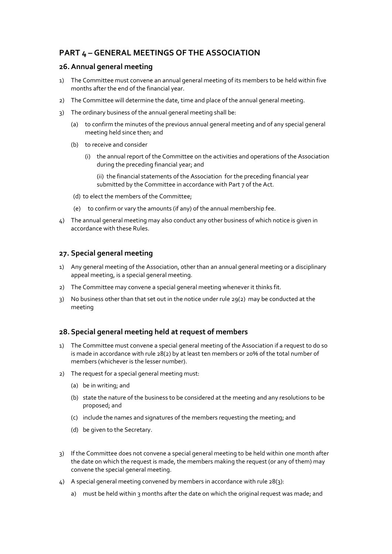# **PART 4 – GENERAL MEETINGS OF THE ASSOCIATION**

### **26.Annual general meeting**

- 1) The Committee must convene an annual general meeting of its members to be held within five months after the end of the financial year.
- 2) The Committee will determine the date, time and place of the annual general meeting.
- 3) The ordinary business of the annual general meeting shall be:
	- (a) to confirm the minutes of the previous annual general meeting and of any special general meeting held since then; and
	- (b) to receive and consider
		- (i) the annual report of the Committee on the activities and operations of the Association during the preceding financial year; and

(ii) the financial statements of the Association for the preceding financial year submitted by the Committee in accordance with Part 7 of the Act.

- (d) to elect the members of the Committee;
- (e) to confirm or vary the amounts (if any) of the annual membership fee.
- 4) The annual general meeting may also conduct any other business of which notice is given in accordance with these Rules.

# **27. Special general meeting**

- 1) Any general meeting of the Association, other than an annual general meeting or a disciplinary appeal meeting, is a special general meeting.
- 2) The Committee may convene a special general meeting whenever it thinks fit.
- 3) No business other than that set out in the notice under rule 29(2) may be conducted at the meeting

# **28. Special general meeting held at request of members**

- 1) The Committee must convene a special general meeting of the Association if a request to do so is made in accordance with rule 28(2) by at least ten members or 20% of the total number of members (whichever is the lesser number).
- 2) The request for a special general meeting must:
	- (a) be in writing; and
	- (b) state the nature of the business to be considered at the meeting and any resolutions to be proposed; and
	- (c) include the names and signatures of the members requesting the meeting; and
	- (d) be given to the Secretary.
- 3) If the Committee does not convene a special general meeting to be held within one month after the date on which the request is made, the members making the request (or any of them) may convene the special general meeting.
- 4) A special general meeting convened by members in accordance with rule 28(3):
	- a) must be held within 3 months after the date on which the original request was made; and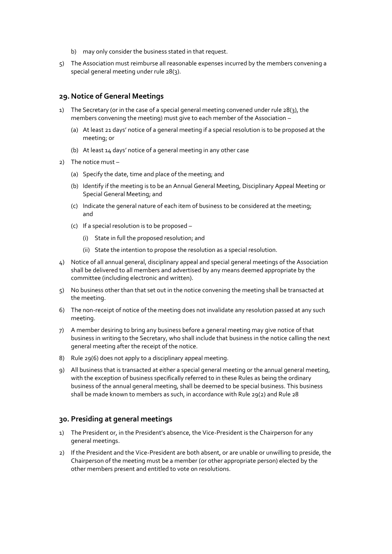- b) may only consider the business stated in that request.
- 5) The Association must reimburse all reasonable expenses incurred by the members convening a special general meeting under rule 28(3).

### **29. Notice of General Meetings**

- 1) The Secretary (or in the case of a special general meeting convened under rule 28(3), the members convening the meeting) must give to each member of the Association –
	- (a) At least 21 days' notice of a general meeting if a special resolution is to be proposed at the meeting; or
	- (b) At least 14 days' notice of a general meeting in any other case
- 2) The notice must
	- (a) Specify the date, time and place of the meeting; and
	- (b) Identify if the meeting is to be an Annual General Meeting, Disciplinary Appeal Meeting or Special General Meeting; and
	- (c) Indicate the general nature of each item of business to be considered at the meeting; and
	- (c) If a special resolution is to be proposed
		- (i) State in full the proposed resolution; and
		- (ii) State the intention to propose the resolution as a special resolution.
- 4) Notice of all annual general, disciplinary appeal and special general meetings of the Association shall be delivered to all members and advertised by any means deemed appropriate by the committee (including electronic and written).
- 5) No business other than that set out in the notice convening the meeting shall be transacted at the meeting.
- 6) The non-receipt of notice of the meeting does not invalidate any resolution passed at any such meeting.
- 7) A member desiring to bring any business before a general meeting may give notice of that business in writing to the Secretary, who shall include that business in the notice calling the next general meeting after the receipt of the notice.
- 8) Rule 29(6) does not apply to a disciplinary appeal meeting.
- 9) All business that is transacted at either a special general meeting or the annual general meeting, with the exception of business specifically referred to in these Rules as being the ordinary business of the annual general meeting, shall be deemed to be special business. This business shall be made known to members as such, in accordance with Rule 29(2) and Rule 28

### **30. Presiding at general meetings**

- 1) The President or, in the President's absence, the Vice-President is the Chairperson for any general meetings.
- 2) If the President and the Vice-President are both absent, or are unable or unwilling to preside, the Chairperson of the meeting must be a member (or other appropriate person) elected by the other members present and entitled to vote on resolutions.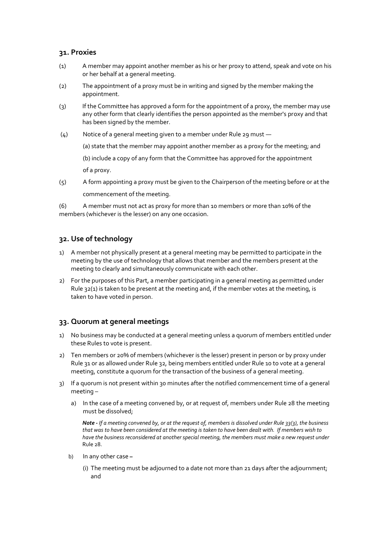### **31. Proxies**

- (1) A member may appoint another member as his or her proxy to attend, speak and vote on his or her behalf at a general meeting.
- (2) The appointment of a proxy must be in writing and signed by the member making the appointment.
- (3) If the Committee has approved a form for the appointment of a proxy, the member may use any other form that clearly identifies the person appointed as the member's proxy and that has been signed by the member.
- (4) Notice of a general meeting given to a member under Rule 29 must
	- (a) state that the member may appoint another member as a proxy for the meeting; and
	- (b) include a copy of any form that the Committee has approved for the appointment

of a proxy.

(5) A form appointing a proxy must be given to the Chairperson of the meeting before or at the commencement of the meeting.

(6) A member must not act as proxy for more than 10 members or more than 10% of the members (whichever is the lesser) on any one occasion.

# **32. Use of technology**

- 1) A member not physically present at a general meeting may be permitted to participate in the meeting by the use of technology that allows that member and the members present at the meeting to clearly and simultaneously communicate with each other.
- 2) For the purposes of this Part, a member participating in a general meeting as permitted under Rule 32(1) is taken to be present at the meeting and, if the member votes at the meeting, is taken to have voted in person.

# **33. Quorum at general meetings**

- 1) No business may be conducted at a general meeting unless a quorum of members entitled under these Rules to vote is present.
- 2) Ten members or 20% of members (whichever is the lesser) present in person or by proxy under Rule 31 or as allowed under Rule 32, being members entitled under Rule 10 to vote at a general meeting, constitute a quorum for the transaction of the business of a general meeting.
- 3) If a quorum is not present within 30 minutes after the notified commencement time of a general meeting –
	- a) In the case of a meeting convened by, or at request of, members under Rule 28 the meeting must be dissolved;

*Note - If a meeting convened by, or at the request of, members is dissolved under Rule 33(3), the business that was to have been considered at the meeting is taken to have been dealt with. If members wish to have the business reconsidered at another special meeting, the members must make a new request under*  Rule 28.

- b) In any other case **–**
	- (i) The meeting must be adjourned to a date not more than 21 days after the adjournment; and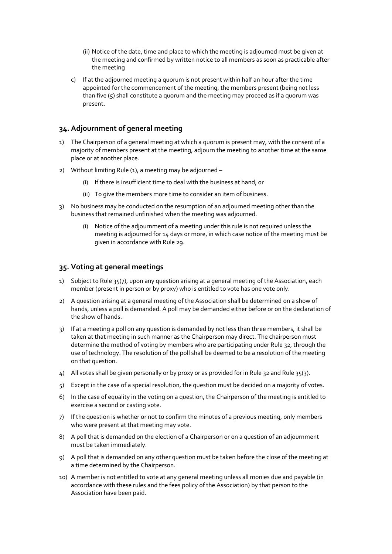- (ii) Notice of the date, time and place to which the meeting is adjourned must be given at the meeting and confirmed by written notice to all members as soon as practicable after the meeting
- c) If at the adjourned meeting a quorum is not present within half an hour after the time appointed for the commencement of the meeting, the members present (being not less than five  $(5)$  shall constitute a quorum and the meeting may proceed as if a quorum was present.

# **34. Adjournment of general meeting**

- 1) The Chairperson of a general meeting at which a quorum is present may, with the consent of a majority of members present at the meeting, adjourn the meeting to another time at the same place or at another place.
- 2) Without limiting Rule (1), a meeting may be adjourned
	- (i) If there is insufficient time to deal with the business at hand; or
	- (ii) To give the members more time to consider an item of business.
- 3) No business may be conducted on the resumption of an adjourned meeting other than the business that remained unfinished when the meeting was adjourned.
	- (i) Notice of the adjournment of a meeting under this rule is not required unless the meeting is adjourned for 14 days or more, in which case notice of the meeting must be given in accordance with Rule 29.

### **35. Voting at general meetings**

- 1) Subject to Rule 35(7), upon any question arising at a general meeting of the Association, each member (present in person or by proxy) who is entitled to vote has one vote only.
- 2) A question arising at a general meeting of the Association shall be determined on a show of hands, unless a poll is demanded. A poll may be demanded either before or on the declaration of the show of hands.
- 3) If at a meeting a poll on any question is demanded by not less than three members, it shall be taken at that meeting in such manner as the Chairperson may direct. The chairperson must determine the method of voting by members who are participating under Rule 32, through the use of technology. The resolution of the poll shall be deemed to be a resolution of the meeting on that question.
- $\Delta$ ) All votes shall be given personally or by proxy or as provided for in Rule 32 and Rule 35(3).
- 5) Except in the case of a special resolution, the question must be decided on a majority of votes.
- 6) In the case of equality in the voting on a question, the Chairperson of the meeting is entitled to exercise a second or casting vote.
- 7) If the question is whether or not to confirm the minutes of a previous meeting, only members who were present at that meeting may vote.
- 8) A poll that is demanded on the election of a Chairperson or on a question of an adjournment must be taken immediately.
- 9) A poll that is demanded on any other question must be taken before the close of the meeting at a time determined by the Chairperson.
- 10) A member is not entitled to vote at any general meeting unless all monies due and payable (in accordance with these rules and the fees policy of the Association) by that person to the Association have been paid.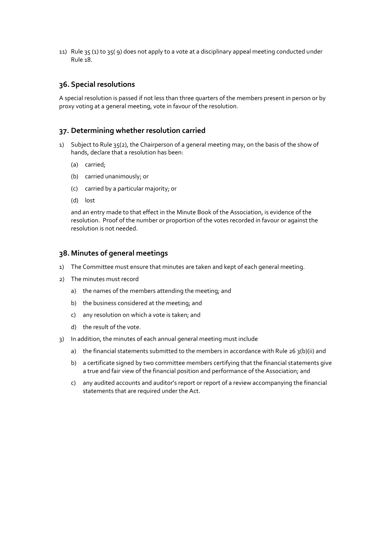11) Rule 35 (1) to 35( 9) does not apply to a vote at a disciplinary appeal meeting conducted under Rule 18.

### **36. Special resolutions**

A special resolution is passed if not less than three quarters of the members present in person or by proxy voting at a general meeting, vote in favour of the resolution.

### **37. Determining whether resolution carried**

- 1) Subject to Rule 35(2), the Chairperson of a general meeting may, on the basis of the show of hands, declare that a resolution has been:
	- (a) carried;
	- (b) carried unanimously; or
	- (c) carried by a particular majority; or
	- (d) lost

and an entry made to that effect in the Minute Book of the Association, is evidence of the resolution. Proof of the number or proportion of the votes recorded in favour or against the resolution is not needed.

# **38. Minutes of general meetings**

- 1) The Committee must ensure that minutes are taken and kept of each general meeting.
- 2) The minutes must record
	- a) the names of the members attending the meeting; and
	- b) the business considered at the meeting; and
	- c) any resolution on which a vote is taken; and
	- d) the result of the vote.
- 3) In addition, the minutes of each annual general meeting must include
	- a) the financial statements submitted to the members in accordance with Rule 26 3(b)(ii) and
	- b) a certificate signed by two committee members certifying that the financial statements give a true and fair view of the financial position and performance of the Association; and
	- c) any audited accounts and auditor's report or report of a review accompanying the financial statements that are required under the Act.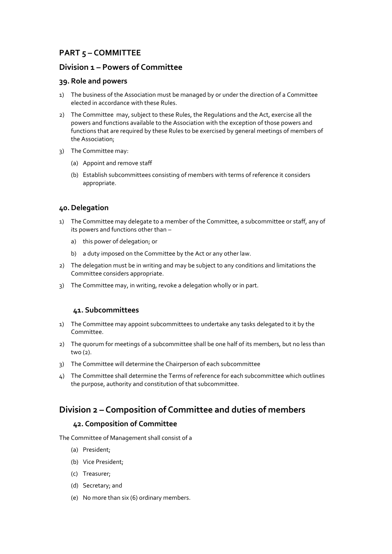# **PART 5 – COMMITTEE**

# **Division 1 – Powers of Committee**

### **39. Role and powers**

- 1) The business of the Association must be managed by or under the direction of a Committee elected in accordance with these Rules.
- 2) The Committee may, subject to these Rules, the Regulations and the Act, exercise all the powers and functions available to the Association with the exception of those powers and functions that are required by these Rules to be exercised by general meetings of members of the Association;
- 3) The Committee may:
	- (a) Appoint and remove staff
	- (b) Establish subcommittees consisting of members with terms of reference it considers appropriate.

# **40.Delegation**

- 1) The Committee may delegate to a member of the Committee, a subcommittee or staff, any of its powers and functions other than –
	- a) this power of delegation; or
	- b) a duty imposed on the Committee by the Act or any other law.
- 2) The delegation must be in writing and may be subject to any conditions and limitations the Committee considers appropriate.
- 3) The Committee may, in writing, revoke a delegation wholly or in part.

# **41. Subcommittees**

- 1) The Committee may appoint subcommittees to undertake any tasks delegated to it by the Committee.
- 2) The quorum for meetings of a subcommittee shall be one half of its members, but no less than two (2).
- 3) The Committee will determine the Chairperson of each subcommittee
- 4) The Committee shall determine the Terms of reference for each subcommittee which outlines the purpose, authority and constitution of that subcommittee.

# **Division 2 – Composition of Committee and duties of members**

# **42. Composition of Committee**

The Committee of Management shall consist of a

- (a) President;
- (b) Vice President;
- (c) Treasurer;
- (d) Secretary; and
- (e) No more than six (6) ordinary members.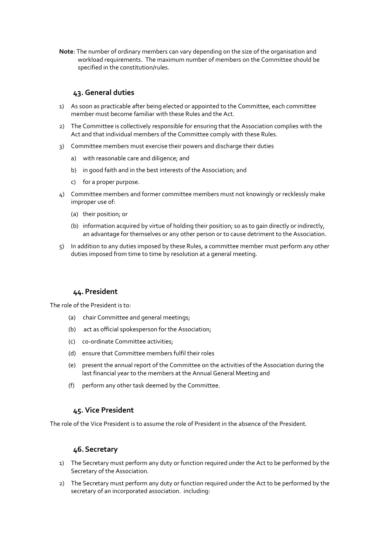**Note**: The number of ordinary members can vary depending on the size of the organisation and workload requirements. The maximum number of members on the Committee should be specified in the constitution/rules.

# **43. General duties**

- 1) As soon as practicable after being elected or appointed to the Committee, each committee member must become familiar with these Rules and the Act.
- 2) The Committee is collectively responsible for ensuring that the Association complies with the Act and that individual members of the Committee comply with these Rules.
- 3) Committee members must exercise their powers and discharge their duties
	- a) with reasonable care and diligence; and
	- b) in good faith and in the best interests of the Association; and
	- c) for a proper purpose.
- 4) Committee members and former committee members must not knowingly or recklessly make improper use of:
	- (a) their position; or
	- (b) information acquired by virtue of holding their position; so as to gain directly or indirectly, an advantage for themselves or any other person or to cause detriment to the Association.
- 5) In addition to any duties imposed by these Rules, a committee member must perform any other duties imposed from time to time by resolution at a general meeting.

### **44.President**

The role of the President is to:

- (a) chair Committee and general meetings;
- (b) act as official spokesperson for the Association;
- (c) co-ordinate Committee activities;
- (d) ensure that Committee members fulfil their roles
- (e) present the annual report of the Committee on the activities of the Association during the last financial year to the members at the Annual General Meeting and
- (f) perform any other task deemed by the Committee.

### **45. Vice President**

The role of the Vice President is to assume the role of President in the absence of the President.

### **46.Secretary**

- 1) The Secretary must perform any duty or function required under the Act to be performed by the Secretary of the Association.
- 2) The Secretary must perform any duty or function required under the Act to be performed by the secretary of an incorporated association. including: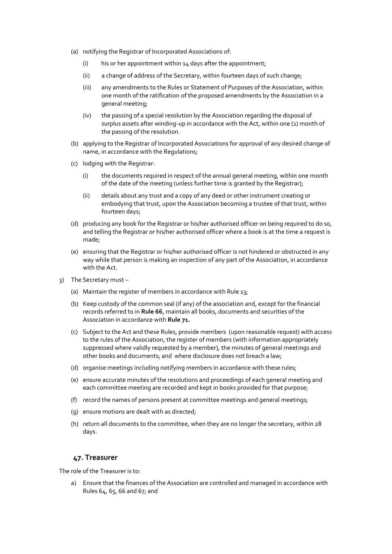- (a) notifying the Registrar of Incorporated Associations of:
	- (i) his or her appointment within 14 days after the appointment;
	- (ii) a change of address of the Secretary, within fourteen days of such change;
	- (iii) any amendments to the Rules or Statement of Purposes of the Association, within one month of the ratification of the proposed amendments by the Association in a general meeting;
	- (iv) the passing of a special resolution by the Association regarding the disposal of surplus assets after winding-up in accordance with the Act, within one (1) month of the passing of the resolution.
- (b) applying to the Registrar of Incorporated Associations for approval of any desired change of name, in accordance with the Regulations;
- (c) lodging with the Registrar:
	- (i) the documents required in respect of the annual general meeting, within one month of the date of the meeting (unless further time is granted by the Registrar);
	- (ii) details about any trust and a copy of any deed or other instrument creating or embodying that trust, upon the Association becoming a trustee of that trust, within fourteen days;
- (d) producing any book for the Registrar or his/her authorised officer on being required to do so, and telling the Registrar or his/her authorised officer where a book is at the time a request is made;
- (e) ensuring that the Registrar or his/her authorised officer is not hindered or obstructed in any way while that person is making an inspection of any part of the Association, in accordance with the Act.
- 3) The Secretary must
	- (a) Maintain the register of members in accordance with Rule 13;
	- (b) Keep custody of the common seal (if any) of the association and, except for the financial records referred to in **Rule 66**, maintain all books, documents and securities of the Association in accordance with **Rule 71***.*
	- (c) Subject to the Act and these Rules, provide members (upon reasonable request) with access to the rules of the Association, the register of members (with information appropriately suppressed where validly requested by a member), the minutes of general meetings and other books and documents; and where disclosure does not breach a law;
	- (d) organise meetings including notifying members in accordance with these rules;
	- (e) ensure accurate minutes of the resolutions and proceedings of each general meeting and each committee meeting are recorded and kept in books provided for that purpose;
	- (f) record the names of persons present at committee meetings and general meetings;
	- (g) ensure motions are dealt with as directed;
	- (h) return all documents to the committee, when they are no longer the secretary, within 28 days.

### **47. Treasurer**

The role of the Treasurer is to:

a) Ensure that the finances of the Association are controlled and managed in accordance with Rules 64, 65, 66 and 67; and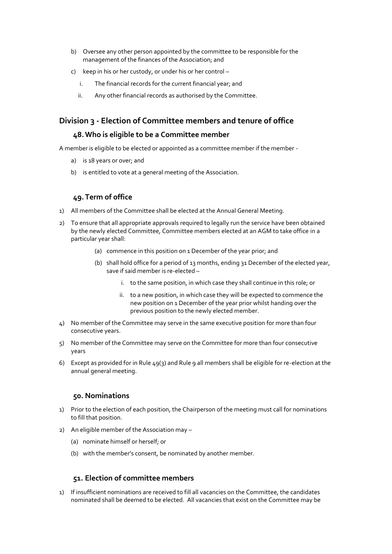- b) Oversee any other person appointed by the committee to be responsible for the management of the finances of the Association; and
- c) keep in his or her custody, or under his or her control
	- i. The financial records for the current financial year; and
	- ii. Any other financial records as authorised by the Committee.

# **Division 3 - Election of Committee members and tenure of office**

## **48.Who is eligible to be a Committee member**

A member is eligible to be elected or appointed as a committee member if the member -

- a) is 18 years or over; and
- b) is entitled to vote at a general meeting of the Association.

# **49.Term of office**

- 1) All members of the Committee shall be elected at the Annual General Meeting.
- 2) To ensure that all appropriate approvals required to legally run the service have been obtained by the newly elected Committee, Committee members elected at an AGM to take office in a particular year shall:
	- (a) commence in this position on 1 December of the year prior; and
	- (b) shall hold office for a period of 13 months, ending 31 December of the elected year, save if said member is re-elected –
		- i. to the same position, in which case they shall continue in this role; or
		- ii. to a new position, in which case they will be expected to commence the new position on 1 December of the year prior whilst handing over the previous position to the newly elected member.
- 4) No member of the Committee may serve in the same executive position for more than four consecutive years.
- 5) No member of the Committee may serve on the Committee for more than four consecutive years
- 6) Except as provided for in Rule 49(3) and Rule 9 all members shall be eligible for re-election at the annual general meeting.

### **50. Nominations**

- 1) Prior to the election of each position, the Chairperson of the meeting must call for nominations to fill that position.
- 2) An eligible member of the Association may
	- (a) nominate himself or herself; or
	- (b) with the member's consent, be nominated by another member.

# **51. Election of committee members**

1) If insufficient nominations are received to fill all vacancies on the Committee, the candidates nominated shall be deemed to be elected. All vacancies that exist on the Committee may be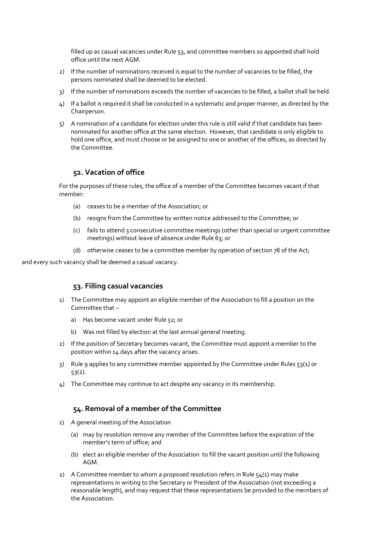filled up as casual vacancies under Rule 53, and committee members so appointed shall hold office until the next AGM.

- 2) If the number of nominations received is equal to the number of vacancies to be filled, the persons nominated shall be deemed to be elected.
- 3) If the number of nominations exceeds the number of vacancies to be filled, a ballot shall be held.
- 4) If a ballot is required it shall be conducted in a systematic and proper manner, as directed by the Chairperson.
- 5) A nomination of a candidate for election under this rule is still valid if that candidate has been nominated for another office at the same election. However, that candidate is only eligible to hold one office, and must choose or be assigned to one or another of the offices, as directed by the Committee.

### **52. Vacation of office**

For the purposes of these rules, the office of a member of the Committee becomes vacant if that member:

- (a) ceases to be a member of the Association; or
- (b) resigns from the Committee by written notice addressed to the Committee; or
- (c) fails to attend 3 consecutive committee meetings (other than special or urgent committee meetings) without leave of absence under Rule 63; or
- (d) otherwise ceases to be a committee member by operation of section 78 of the Act;

and every such vacancy shall be deemed a casual vacancy.

### **53. Filling casual vacancies**

- 1) The Committee may appoint an eligible member of the Association to fill a position on the Committee that –
	- a) Has become vacant under Rule 52; or
	- b) Was not filled by election at the last annual general meeting.
- 2) If the position of Secretary becomes vacant, the Committee must appoint a member to the position within 14 days after the vacancy arises.
- 3) Rule 9 applies to any committee member appointed by the Committee under Rules 53(1) or 53(2).
- 4) The Committee may continue to act despite any vacancy in its membership.

### **54. Removal of a member of the Committee**

- 1) A general meeting of the Association
	- (a) may by resolution remove any member of the Committee before the expiration of the member's term of office; and
	- (b) elect an eligible member of the Association to fill the vacant position until the following AGM.
- 2) A Committee member to whom a proposed resolution refers in Rule  $54(1)$  may make representations in writing to the Secretary or President of the Association (not exceeding a reasonable length), and may request that these representations be provided to the members of the Association.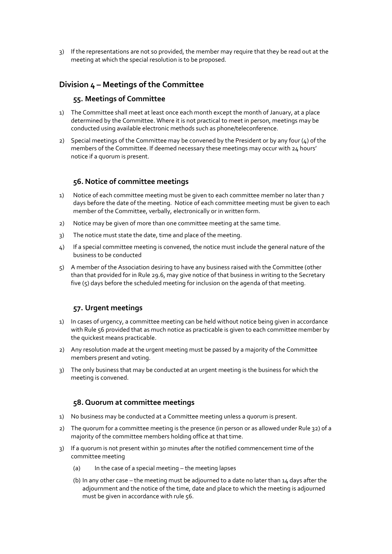3) If the representations are not so provided, the member may require that they be read out at the meeting at which the special resolution is to be proposed.

# **Division 4 – Meetings of the Committee**

### **55. Meetings of Committee**

- 1) The Committee shall meet at least once each month except the month of January, at a place determined by the Committee. Where it is not practical to meet in person, meetings may be conducted using available electronic methods such as phone/teleconference.
- 2) Special meetings of the Committee may be convened by the President or by any four  $(4)$  of the members of the Committee. If deemed necessary these meetings may occur with 24 hours' notice if a quorum is present.

### **56. Notice of committee meetings**

- 1) Notice of each committee meeting must be given to each committee member no later than 7 days before the date of the meeting. Notice of each committee meeting must be given to each member of the Committee, verbally, electronically or in written form.
- 2) Notice may be given of more than one committee meeting at the same time.
- 3) The notice must state the date, time and place of the meeting.
- 4) If a special committee meeting is convened, the notice must include the general nature of the business to be conducted
- 5) A member of the Association desiring to have any business raised with the Committee (other than that provided for in Rule 29.6, may give notice of that business in writing to the Secretary five  $(5)$  days before the scheduled meeting for inclusion on the agenda of that meeting.

### **57. Urgent meetings**

- 1) In cases of urgency, a committee meeting can be held without notice being given in accordance with Rule 56 provided that as much notice as practicable is given to each committee member by the quickest means practicable.
- 2) Any resolution made at the urgent meeting must be passed by a majority of the Committee members present and voting.
- 3) The only business that may be conducted at an urgent meeting is the business for which the meeting is convened.

### **58. Quorum at committee meetings**

- 1) No business may be conducted at a Committee meeting unless a quorum is present.
- 2) The quorum for a committee meeting is the presence (in person or as allowed under Rule 32) of a majority of the committee members holding office at that time.
- 3) If a quorum is not present within 30 minutes after the notified commencement time of the committee meeting
	- (a) In the case of a special meeting the meeting lapses
	- (b) In any other case the meeting must be adjourned to a date no later than  $14$  days after the adjournment and the notice of the time, date and place to which the meeting is adjourned must be given in accordance with rule 56.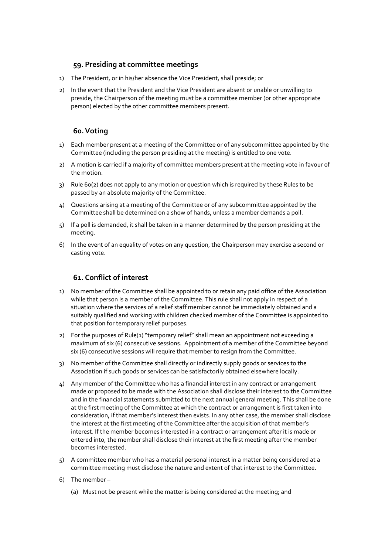# **59. Presiding at committee meetings**

- 1) The President, or in his/her absence the Vice President, shall preside; or
- 2) In the event that the President and the Vice President are absent or unable or unwilling to preside, the Chairperson of the meeting must be a committee member (or other appropriate person) elected by the other committee members present.

# **60.Voting**

- 1) Each member present at a meeting of the Committee or of any subcommittee appointed by the Committee (including the person presiding at the meeting) is entitled to one vote.
- 2) A motion is carried if a majority of committee members present at the meeting vote in favour of the motion.
- 3) Rule 60(2) does not apply to any motion or question which is required by these Rules to be passed by an absolute majority of the Committee.
- 4) Questions arising at a meeting of the Committee or of any subcommittee appointed by the Committee shall be determined on a show of hands, unless a member demands a poll.
- 5) If a poll is demanded, it shall be taken in a manner determined by the person presiding at the meeting.
- 6) In the event of an equality of votes on any question, the Chairperson may exercise a second or casting vote.

## **61. Conflict of interest**

- 1) No member of the Committee shall be appointed to or retain any paid office of the Association while that person is a member of the Committee. This rule shall not apply in respect of a situation where the services of a relief staff member cannot be immediately obtained and a suitably qualified and working with children checked member of the Committee is appointed to that position for temporary relief purposes.
- 2) For the purposes of Rule(1) "temporary relief" shall mean an appointment not exceeding a maximum of six (6) consecutive sessions. Appointment of a member of the Committee beyond six (6) consecutive sessions will require that member to resign from the Committee.
- 3) No member of the Committee shall directly or indirectly supply goods or services to the Association if such goods or services can be satisfactorily obtained elsewhere locally.
- 4) Any member of the Committee who has a financial interest in any contract or arrangement made or proposed to be made with the Association shall disclose their interest to the Committee and in the financial statements submitted to the next annual general meeting. This shall be done at the first meeting of the Committee at which the contract or arrangement is first taken into consideration, if that member's interest then exists. In any other case, the member shall disclose the interest at the first meeting of the Committee after the acquisition of that member's interest. If the member becomes interested in a contract or arrangement after it is made or entered into, the member shall disclose their interest at the first meeting after the member becomes interested.
- 5) A committee member who has a material personal interest in a matter being considered at a committee meeting must disclose the nature and extent of that interest to the Committee.
- 6) The member
	- (a) Must not be present while the matter is being considered at the meeting; and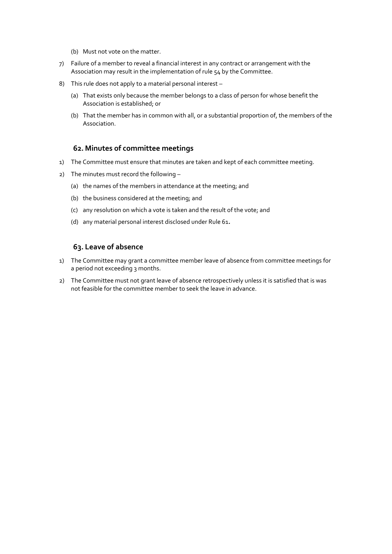- (b) Must not vote on the matter.
- 7) Failure of a member to reveal a financial interest in any contract or arrangement with the Association may result in the implementation of rule 54 by the Committee.
- 8) This rule does not apply to a material personal interest
	- (a) That exists only because the member belongs to a class of person for whose benefit the Association is established; or
	- (b) That the member has in common with all, or a substantial proportion of, the members of the Association.

### **62. Minutes of committee meetings**

- 1) The Committee must ensure that minutes are taken and kept of each committee meeting.
- 2) The minutes must record the following
	- (a) the names of the members in attendance at the meeting; and
	- (b) the business considered at the meeting; and
	- (c) any resolution on which a vote is taken and the result of the vote; and
	- (d) any material personal interest disclosed under Rule 61*.*

### **63. Leave of absence**

- 1) The Committee may grant a committee member leave of absence from committee meetings for a period not exceeding 3 months.
- 2) The Committee must not grant leave of absence retrospectively unless it is satisfied that is was not feasible for the committee member to seek the leave in advance.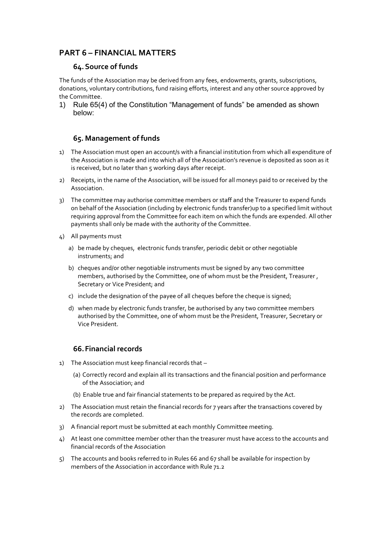# **PART 6 – FINANCIAL MATTERS**

## **64.Source of funds**

The funds of the Association may be derived from any fees, endowments, grants, subscriptions, donations, voluntary contributions, fund raising efforts, interest and any other source approved by the Committee.

1) Rule 65(4) of the Constitution "Management of funds" be amended as shown below:

# **65. Management of funds**

- 1) The Association must open an account/s with a financial institution from which all expenditure of the Association is made and into which all of the Association's revenue is deposited as soon as it is received, but no later than 5 working days after receipt.
- 2) Receipts, in the name of the Association, will be issued for all moneys paid to or received by the Association.
- 3) The committee may authorise committee members or staff and the Treasurer to expend funds on behalf of the Association (including by electronic funds transfer)up to a specified limit without requiring approval from the Committee for each item on which the funds are expended. All other payments shall only be made with the authority of the Committee.
- 4) All payments must
	- a) be made by cheques, electronic funds transfer, periodic debit or other negotiable instruments; and
	- b) cheques and/or other negotiable instruments must be signed by any two committee members, authorised by the Committee, one of whom must be the President, Treasurer , Secretary or Vice President; and
	- c) include the designation of the payee of all cheques before the cheque is signed;
	- d) when made by electronic funds transfer, be authorised by any two committee members authorised by the Committee, one of whom must be the President, Treasurer, Secretary or Vice President.

### **66.Financial records**

- 1) The Association must keep financial records that
	- (a) Correctly record and explain all its transactions and the financial position and performance of the Association; and
	- (b) Enable true and fair financial statements to be prepared as required by the Act.
- 2) The Association must retain the financial records for 7 years after the transactions covered by the records are completed.
- 3) A financial report must be submitted at each monthly Committee meeting.
- 4) At least one committee member other than the treasurer must have access to the accounts and financial records of the Association
- 5) The accounts and books referred to in Rules 66 and 67 shall be available for inspection by members of the Association in accordance with Rule 71.2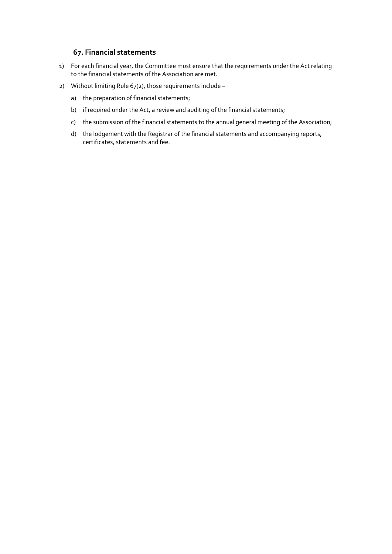# **67. Financial statements**

- 1) For each financial year, the Committee must ensure that the requirements under the Act relating to the financial statements of the Association are met.
- 2) Without limiting Rule 67(2), those requirements include
	- a) the preparation of financial statements;
	- b) if required under the Act, a review and auditing of the financial statements;
	- c) the submission of the financial statements to the annual general meeting of the Association;
	- d) the lodgement with the Registrar of the financial statements and accompanying reports, certificates, statements and fee.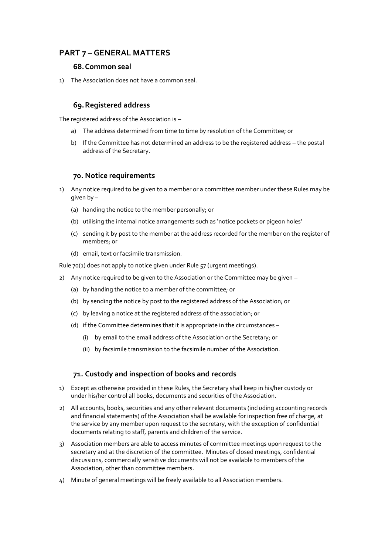# **PART 7 – GENERAL MATTERS**

### **68.Common seal**

1) The Association does not have a common seal.

# **69.Registered address**

The registered address of the Association is –

- a) The address determined from time to time by resolution of the Committee; or
- b) If the Committee has not determined an address to be the registered address the postal address of the Secretary.

### **70. Notice requirements**

- 1) Any notice required to be given to a member or a committee member under these Rules may be given by –
	- (a) handing the notice to the member personally; or
	- (b) utilising the internal notice arrangements such as 'notice pockets or pigeon holes'
	- (c) sending it by post to the member at the address recorded for the member on the register of members; or
	- (d) email, text or facsimile transmission.

Rule 70(1) does not apply to notice given under Rule 57 (urgent meetings).

- 2) Any notice required to be given to the Association or the Committee may be given
	- (a) by handing the notice to a member of the committee; or
	- (b) by sending the notice by post to the registered address of the Association; or
	- (c) by leaving a notice at the registered address of the association; or
	- (d) if the Committee determines that it is appropriate in the circumstances
		- (i) by email to the email address of the Association or the Secretary; or
		- (ii) by facsimile transmission to the facsimile number of the Association.

# **71. Custody and inspection of books and records**

- 1) Except as otherwise provided in these Rules, the Secretary shall keep in his/her custody or under his/her control all books, documents and securities of the Association.
- 2) All accounts, books, securities and any other relevant documents (including accounting records and financial statements) of the Association shall be available for inspection free of charge, at the service by any member upon request to the secretary, with the exception of confidential documents relating to staff, parents and children of the service.
- 3) Association members are able to access minutes of committee meetings upon request to the secretary and at the discretion of the committee. Minutes of closed meetings, confidential discussions, commercially sensitive documents will not be available to members of the Association, other than committee members.
- 4) Minute of general meetings will be freely available to all Association members.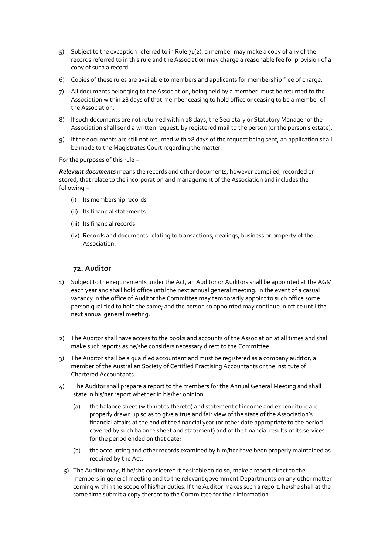- 5) Subject to the exception referred to in Rule 71(2), a member may make a copy of any of the records referred to in this rule and the Association may charge a reasonable fee for provision of a copy of such a record.
- 6) Copies of these rules are available to members and applicants for membership free of charge.
- 7) All documents belonging to the Association, being held by a member, must be returned to the Association within 28 days of that member ceasing to hold office or ceasing to be a member of the Association.
- 8) If such documents are not returned within 28 days, the Secretary or Statutory Manager of the Association shall send a written request, by registered mail to the person (or the person's estate).
- 9) If the documents are still not returned with 28 days of the request being sent, an application shall be made to the Magistrates Court regarding the matter.

For the purposes of this rule –

*Relevant documents* means the records and other documents, however compiled, recorded or stored, that relate to the incorporation and management of the Association and includes the following –

- (i) Its membership records
- (ii) Its financial statements
- (iii) Its financial records
- (iv) Records and documents relating to transactions, dealings, business or property of the Association.

# **72. Auditor**

- 1) Subject to the requirements under the Act, an Auditor or Auditors shall be appointed at the AGM each year and shall hold office until the next annual general meeting. In the event of a casual vacancy in the office of Auditor the Committee may temporarily appoint to such office some person qualified to hold the same; and the person so appointed may continue in office until the next annual general meeting.
- 2) The Auditor shall have access to the books and accounts of the Association at all times and shall make such reports as he/she considers necessary direct to the Committee.
- 3) The Auditor shall be a qualified accountant and must be registered as a company auditor, a member of the Australian Society of Certified Practising Accountants or the Institute of Chartered Accountants.
- 4) The Auditor shall prepare a report to the members for the Annual General Meeting and shall state in his/her report whether in his/her opinion:
	- (a) the balance sheet (with notes thereto) and statement of income and expenditure are properly drawn up so as to give a true and fair view of the state of the Association's financial affairs at the end of the financial year (or other date appropriate to the period covered by such balance sheet and statement) and of the financial results of its services for the period ended on that date;
	- (b) the accounting and other records examined by him/her have been properly maintained as required by the Act.
	- 5) The Auditor may, if he/she considered it desirable to do so, make a report direct to the members in general meeting and to the relevant government Departments on any other matter coming within the scope of his/her duties. If the Auditor makes such a report, he/she shall at the same time submit a copy thereof to the Committee for their information.